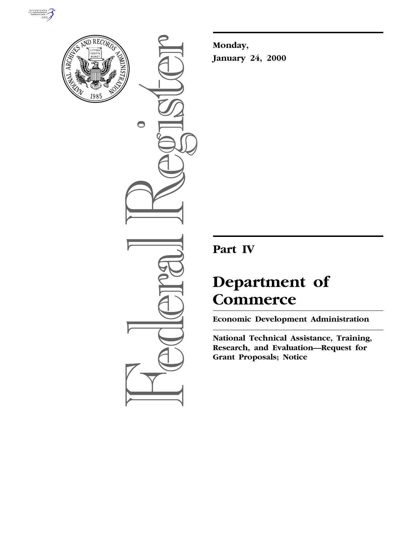



 $\bigcirc$ 

**Monday, January 24, 2000**

## **Part IV**

# **Department of Commerce**

**Economic Development Administration**

**National Technical Assistance, Training, Research, and Evaluation—Request for Grant Proposals; Notice**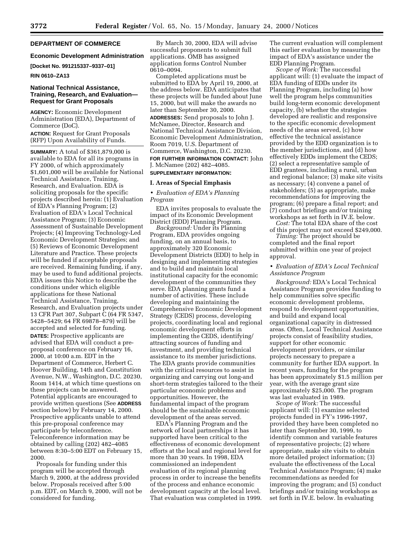#### **DEPARTMENT OF COMMERCE**

#### **Economic Development Administration**

**[Docket No. 991215337–9337–01]**

**RIN 0610–ZA13**

#### **National Technical Assistance, Training, Research, and Evaluation— Request for Grant Proposals**

**AGENCY:** Economic Development Administration (EDA), Department of Commerce (DoC).

**ACTION:** Request for Grant Proposals (RFP) Upon Availability of Funds.

**SUMMARY:** A total of \$361,879,000 is available to EDA for all its programs in FY 2000, of which approximately \$1,601,000 will be available for National Technical Assistance, Training, Research, and Evaluation. EDA is soliciting proposals for the specific projects described herein: (1) Evaluation of EDA's Planning Program; (2) Evaluation of EDA's Local Technical Assistance Program; (3) Economic Assessment of Sustainable Development Projects; (4) Improving Technology-Led Economic Development Strategies; and (5) Reviews of Economic Development Literature and Practice. These projects will be funded if acceptable proposals are received. Remaining funding, if any, may be used to fund additional projects. EDA issues this Notice to describe the conditions under which eligible applications for these National Technical Assistance, Training, Research, and Evaluation projects under 13 CFR Part 307, Subpart C (64 FR 5347, 5428–5429; 64 FR 69878–879) will be accepted and selected for funding. **DATES:** Prospective applicants are advised that EDA will conduct a preproposal conference on February 16, 2000, at 10:00 a.m. EDT in the Department of Commerce, Herbert C. Hoover Building, 14th and Constitution Avenue, N.W., Washington, D.C. 20230, Room 1414, at which time questions on these projects can be answered. Potential applicants are encouraged to provide written questions (See **ADDRESS** section below) by February 14, 2000. Prospective applicants unable to attend this pre-proposal conference may participate by teleconference. Teleconference information may be obtained by calling (202) 482–4085 between 8:30–5:00 EDT on February 15, 2000.

Proposals for funding under this program will be accepted through March 9, 2000, at the address provided below. Proposals received after 5:00 p.m. EDT, on March 9, 2000, will not be considered for funding.

By March 30, 2000, EDA will advise successful proponents to submit full applications. OMB has assigned application forms Control Number 0610–0094.

Completed applications must be submitted to EDA by April 19, 2000, at the address below. EDA anticipates that these projects will be funded about June 15, 2000, but will make the awards no later than September 30, 2000.

**ADDRESSES:** Send proposals to John J. McNamee, Director, Research and National Technical Assistance Division, Economic Development Administration, Room 7019, U.S. Department of Commerce, Washington, D.C. 20230.

**FOR FURTHER INFORMATION CONTACT:** John J. McNamee (202) 482–4085.

### **SUPPLEMENTARY INFORMATION:**

#### **I. Areas of Special Emphasis**

#### • *Evaluation of EDA's Planning Program*

EDA invites proposals to evaluate the impact of its Economic Development District (EDD) Planning Program.

*Background:* Under its Planning Program, EDA provides ongoing funding, on an annual basis, to approximately 320 Economic Development Districts (EDD) to help in designing and implementing strategies and to build and maintain local institutional capacity for the economic development of the communities they serve. EDA planning grants fund a number of activities. These include developing and maintaining the Comprehensive Economic Development Strategy (CEDS) process, developing projects, coordinating local and regional economic development efforts in implementing the CEDS, identifying/ attracting sources of funding and investment, and providing technical assistance to its member jurisdictions. The EDA grants provide communities with the critical resources to assist in organizing and carrying out long-and short-term strategies tailored to the their particular economic problems and opportunities. However, the fundamental impact of the program should be the sustainable economic development of the areas served.

EDA's Planning Program and the network of local partnerships it has supported have been critical to the effectiveness of economic development efforts at the local and regional level for more than 30 years. In 1998, EDA commissioned an independent evaluation of its regional planning process in order to increase the benefits of the process and enhance economic development capacity at the local level. That evaluation was completed in 1999.

The current evaluation will complement this earlier evaluation by measuring the impact of EDA's assistance under the EDD Planning Program.

*Scope of Work:* The successful applicant will: (1) evaluate the impact of EDA funding of EDDs under its Planning Program, including (a) how well the program helps communities build long-term economic development capacity, (b) whether the strategies developed are realistic and responsive to the specific economic development needs of the areas served, (c) how effective the technical assistance provided by the EDD organization is to the member jurisdictions, and (d) how effectively EDDs implement the CEDS; (2) select a representative sample of EDD grantees, including a rural, urban and regional balance; (3) make site visits as necessary; (4) convene a panel of stakeholders; (5) as appropriate, make recommendations for improving the program; (6) prepare a final report; and (7) conduct briefings and/or training workshops as set forth in IV.E. below. *Cost:* The total EDA share of the cost

of this project may not exceed \$249,000.

*Timing:* The project should be completed and the final report submitted within one year of project approval.

#### • *Evaluation of EDA's Local Technical Assistance Program*

*Background:* EDA's Local Technical Assistance Program provides funding to help communities solve specific economic development problems, respond to development opportunities, and build and expand local organizational capacity in distressed areas. Often, Local Technical Assistance projects consist of feasibility studies, support for other economic development providers, or similar projects necessary to prepare a community for further EDA support. In recent years, funding for the program has been approximately \$1.5 million per year, with the average grant size approximately \$25,000. The program was last evaluated in 1989.

*Scope of Work:* The successful applicant will: (1) examine selected projects funded in FY's 1996-1997, provided they have been completed no later than September 30, 1999, to identify common and variable features of representative projects; (2) where appropriate, make site visits to obtain more detailed project information; (3) evaluate the effectiveness of the Local Technical Assistance Program; (4) make recommendations as needed for improving the program; and (5) conduct briefings and/or training workshops as set forth in IV.E. below. In evaluating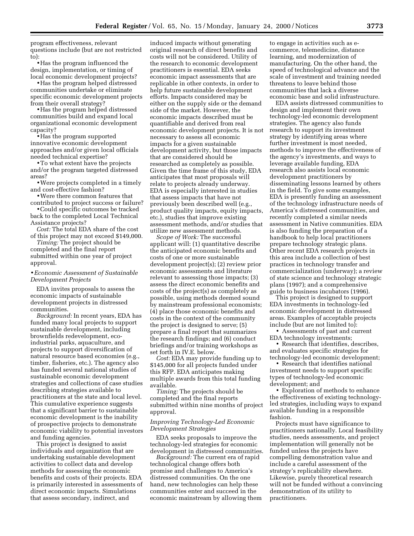program effectiveness, relevant questions include (but are not restricted to):

• Has the program influenced the design, implementation, or timing of local economic development projects?

• Has the program helped distressed communities undertake or eliminate specific economic development projects from their overall strategy?

• Has the program helped distressed communities build and expand local organizational economic development capacity?

• Has the program supported innovative economic development approaches and/or given local officials needed technical expertise?

•To what extent have the projects and/or the program targeted distressed areas?

•Were projects completed in a timely and cost-effective fashion?

•Were there common features that contributed to project success or failure?

•Could specific outcomes be tracked back to the completed Local Technical Assistance projects?

*Cost:* The total EDA share of the cost of this project may not exceed \$149,000.

*Timing:* The project should be completed and the final report submitted within one year of project approval.

#### • *Economic Assessment of Sustainable Development Projects*

EDA invites proposals to assess the economic impacts of sustainable development projects in distressed communities.

*Background:* In recent years, EDA has funded many local projects to support sustainable development, including brownfields redevelopment, ecoindustrial parks, aquaculture, and projects to support diversification of natural resource based economies (e.g., timber, fisheries, etc.). The agency also has funded several national studies of sustainable economic development strategies and collections of case studies describing strategies available to practitioners at the state and local level. This cumulative experience suggests that a significant barrier to sustainable economic development is the inability of prospective projects to demonstrate economic viability to potential investors and funding agencies.

This project is designed to assist individuals and organization that are undertaking sustainable development activities to collect data and develop methods for assessing the economic benefits and costs of their projects. EDA is primarily interested in assessments of direct economic impacts. Simulations that assess secondary, indirect, and

induced impacts without generating original research of direct benefits and costs will not be considered. Utility of the research to economic development practitioners is essential. EDA seeks economic impact assessments that are replicable in other contexts, in order to help future sustainable development efforts. Impacts considered may be either on the supply side or the demand side of the market. However, the economic impacts described must be quantifiable and derived from real economic development projects. It is not necessary to assess all economic impacts for a given sustainable development activity, but those impacts that are considered should be researched as completely as possible. Given the time frame of this study, EDA anticipates that most proposals will relate to projects already underway. EDA is especially interested in studies that assess impacts that have not previously been described well (e.g., product quality impacts, equity impacts, etc.), studies that improve existing assessment methods, and/or studies that utilize new assessment methods.

*Scope of Work:* The successful applicant will: (1) quantitative describe the anticipated economic benefits and costs of one or more sustainable development project(s); (2) review prior economic assessments and literature relevant to assessing those impacts; (3) assess the direct economic benefits and costs of the project(s) as completely as possible, using methods deemed sound by mainstream professional economists; (4) place those economic benefits and costs in the context of the community the project is designed to serve; (5) prepare a final report that summarizes the research findings; and (6) conduct briefings and/or training workshops as set forth in IV.E. below.

*Cost:* EDA may provide funding up to \$145,000 for all projects funded under this RFP. EDA anticipates making multiple awards from this total funding available.

*Timing:* The projects should be completed and the final reports submitted within nine months of project approval.

#### *Improving Technology-Led Economic Development Strategies*

EDA seeks proposals to improve the technology-led strategies for economic development in distressed communities.

*Background:* The current era of rapid technological change offers both promise and challenges to America's distressed communities. On the one hand, new technologies can help these communities enter and succeed in the economic mainstream by allowing them

to engage in activities such as ecommerce, telemedicine, distance learning, and modernization of manufacturing. On the other hand, the speed of technological advance and the scale of investment and training needed threatens to leave behind those communities that lack a diverse economic base and solid infrastructure.

EDA assists distressed communities to design and implement their own technology-led economic development strategies. The agency also funds research to support its investment strategy by identifying areas where further investment is most needed, methods to improve the effectiveness of the agency's investments, and ways to leverage available funding, EDA research also assists local economic development practitioners by disseminating lessons learned by others in the field. To give some examples, EDA is presently funding an assessment of the technology infrastructure needs of America's distressed communities, and recently completed a similar needs assessment in Native communities. EDA is also funding the preparation of a handbook to help local practitioners prepare technology strategic plans. Other recent EDA research projects in this area include a collection of best practices in technology transfer and commercialization (underway); a review of state science and technology strategic plans (1997); and a comprehensive guide to business incubators (1996).

This project is designed to support EDA investments in technology-led economic development in distressed areas. Examples of acceptable projects include (but are not limited to):

• Assessments of past and current EDA technology investments;

• Research that identifies, describes, and evaluates specific strategies for technology-led economic development;

• Research that identifies national investment needs to support specific types of technology-led economic development; and

• Exploration of methods to enhance the effectiveness of existing technologyled strategies, including ways to expand available funding in a responsible fashion.

Projects must have significance to practitioners nationally. Local feasibility studies, needs assessments, and project implementation will generally not be funded unless the projects have compelling demonstration value and include a careful assessment of the strategy's replicability elsewhere. Likewise, purely theoretical research will not be funded without a convincing demonstration of its utility to practitioners.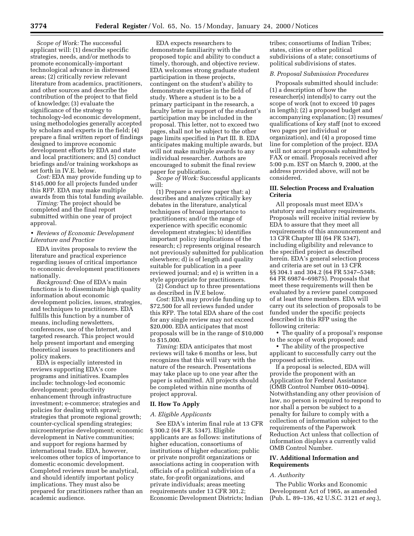*Scope of Work:* The successful applicant will: (1) describe specific strategies, needs, and/or methods to promote economically-important technological advance in distressed areas; (2) critically review relevant literature from academics, practitioners, and other sources and describe the contribution of the project to that field of knowledge; (3) evaluate the significance of the strategy to technology-led economic development, using methodologies generally accepted by scholars and experts in the field; (4) prepare a final written report of findings designed to improve economic development efforts by EDA and state and local practitioners; and (5) conduct briefings and/or training workshops as set forth in IV.E. below.

*Cost:* EDA may provide funding up to \$145,000 for all projects funded under this RFP. EDA may make multiple awards from this total funding available.

*Timing:* The project should be completed and the final report submitted within one year of project approval.

#### • *Reviews of Economic Development Literature and Practice*

EDA invites proposals to review the literature and practical experience regarding issues of critical importance to economic development practitioners nationally.

*Background:* One of EDA's main functions is to disseminate high quality information about economic development policies, issues, strategies, and techniques to practitioners. EDA fulfills this function by a number of means, including newsletters, conferences, use of the Internet, and targeted research. This project would help present important and emerging theoretical issues to practitioners and policy makers.

EDA is especially interested in reviews supporting EDA's core programs and initiatives. Examples include: technology-led economic development; productivity enhancement through infrastructure investment; e-commerce; strategies and policies for dealing with sprawl; strategies that promote regional growth; counter-cyclical spending strategies; microenterprise development; economic development in Native communities; and support for regions harmed by international trade. EDA, however, welcomes other topics of importance to domestic economic development. Completed reviews must be analytical, and should identify important policy implications. They must also be prepared for practitioners rather than an academic audience.

EDA expects researchers to demonstrate familiarity with the proposed topic and ability to conduct a timely, thorough, and objective review. EDA welcomes strong graduate student participation in these projects, contingent on the student's ability to demonstrate expertise in the field of study. Where a student is to be a primary participant in the research, a faculty letter in support of the student's participation may be included in the proposal. This letter, not to exceed two pages, shall not be subject to the other page limits specified in Part III. B. EDA anticipates making multiple awards, but will not make multiple awards to any individual researcher. Authors are encouraged to submit the final review paper for publication.

*Scope of Work:* Successful applicants will:

(1) Prepare a review paper that: a) describes and analyzes critically key debates in the literature, analytical techniques of broad importance to practitioners; and/or the range of experience with specific economic development strategies; b) identifies important policy implications of the research; c) represents original research not previously submitted for publication elsewhere; d) is of length and quality suitable for publication in a peer reviewed journal; and e) is written in a style appropriate for practitioners.

(2) Conduct up to three presentations as described in IV.E below.

*Cost:* EDA may provide funding up to \$72,500 for all reviews funded under this RFP. The total EDA share of the cost for any single review may not exceed \$20,000. EDA anticipates that most proposals will be in the range of \$10,000 to \$15,000.

*Timing:* EDA anticipates that most reviews will take 6 months or less, but recognizes that this will vary with the nature of the research. Presentations may take place up to one year after the paper is submitted. All projects should be completed within nine months of project approval.

#### **II. How To Apply**

#### *A. Eligible Applicants*

See EDA's interim final rule at 13 CFR § 300.2 (64 F.R. 5347). Eligible applicants are as follows: institutions of higher education, consortiums of institutions of higher education; public or private nonprofit organizations or associations acting in cooperation with officials of a political subdivision of a state, for-profit organizations, and private individuals; areas meeting requirements under 13 CFR 301.2; Economic Development Districts; Indian

tribes; consortiums of Indian Tribes; states, cities or other political subdivisions of a state; consortiums of political subdivisions of states.

#### *B. Proposal Submission Procedures*

Proposals submitted should include: (1) a description of how the researcher(s) intend(s) to carry out the scope of work (not to exceed 10 pages in length); (2) a proposed budget and accompanying explanation; (3) resumes/ qualifications of key staff (not to exceed two pages per individual or organization), and (4) a proposed time line for completion of the project. EDA will not accept proposals submitted by FAX or email. Proposals received after 5:00 p.m. EST on March 9, 2000, at the address provided above, will not be considered.

#### **III. Selection Process and Evaluation Criteria**

All proposals must meet EDA's statutory and regulatory requirements. Proposals will receive initial review by EDA to assure that they meet all requirements of this announcement and 13 CFR Chapter III (64 FR 5347), including eligibility and relevance to the specified project as described herein. EDA's general selection process and criteria are set out in 13 CFR §§ 304.1 and 304.2 (64 FR 5347–5348; 64 FR 69874–69875). Proposals that meet these requirements will then be evaluated by a review panel composed of at least three members. EDA will carry out its selection of proposals to be funded under the specific projects described in this RFP using the following criteria:

• The quality of a proposal's response to the scope of work proposed; and

• The ability of the prospective applicant to successfully carry out the proposed activities.

If a proposal is selected, EDA will provide the proponent with an Application for Federal Assistance (OMB Control Number 0610–0094). Notwithstanding any other provision of law, no person is required to respond to nor shall a person be subject to a penalty for failure to comply with a collection of information subject to the requirements of the Paperwork Reduction Act unless that collection of information displays a currently valid OMB Control Number.

#### **IV. Additional Information and Requirements**

#### *A. Authority*

The Public Works and Economic Development Act of 1965, as amended (Pub. L. 89–136, 42 U.S.C. 3121 *et seq.*),